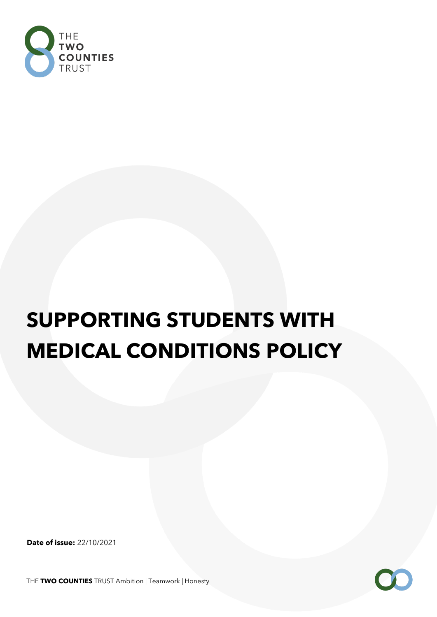

# **SUPPORTING STUDENTS WITH MEDICAL CONDITIONS POLICY**

**Date of issue:** 22/10/2021

THE **TWO COUNTIES** TRUST Ambition | Teamwork | Honesty

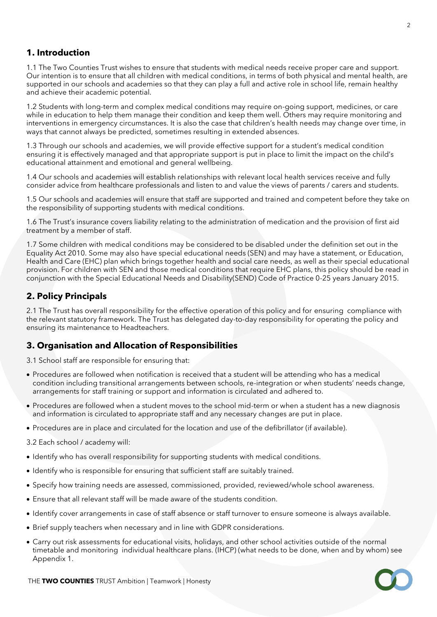## **1. Introduction**

1.1 The Two Counties Trust wishes to ensure that students with medical needs receive proper care and support. Our intention is to ensure that all children with medical conditions, in terms of both physical and mental health, are supported in our schools and academies so that they can play a full and active role in school life, remain healthy and achieve their academic potential.

1.2 Students with long-term and complex medical conditions may require on-going support, medicines, or care while in education to help them manage their condition and keep them well. Others may require monitoring and interventions in emergency circumstances. It is also the case that children's health needs may change over time, in ways that cannot always be predicted, sometimes resulting in extended absences.

1.3 Through our schools and academies, we will provide effective support for a student's medical condition ensuring it is effectively managed and that appropriate support is put in place to limit the impact on the child's educational attainment and emotional and general wellbeing.

1.4 Our schools and academies will establish relationships with relevant local health services receive and fully consider advice from healthcare professionals and listen to and value the views of parents / carers and students.

1.5 Our schools and academies will ensure that staff are supported and trained and competent before they take on the responsibility of supporting students with medical conditions.

1.6 The Trust's insurance covers liability relating to the administration of medication and the provision of first aid treatment by a member of staff.

1.7 Some children with medical conditions may be considered to be disabled under the definition set out in the Equality Act 2010. Some may also have special educational needs (SEN) and may have a statement, or Education, Health and Care (EHC) plan which brings together health and social care needs, as well as their special educational provision. For children with SEN and those medical conditions that require EHC plans, this policy should be read in conjunction with the Special Educational Needs and Disability(SEND) Code of Practice 0-25 years January 2015.

## **2. Policy Principals**

2.1 The Trust has overall responsibility for the effective operation of this policy and for ensuring compliance with the relevant statutory framework. The Trust has delegated day-to-day responsibility for operating the policy and ensuring its maintenance to Headteachers.

#### **3. Organisation and Allocation of Responsibilities**

3.1 School staff are responsible for ensuring that:

- Procedures are followed when notification is received that a student will be attending who has a medical condition including transitional arrangements between schools, re-integration or when students' needs change, arrangements for staff training or support and information is circulated and adhered to.
- Procedures are followed when a student moves to the school mid-term or when a student has a new diagnosis and information is circulated to appropriate staff and any necessary changes are put in place.
- Procedures are in place and circulated for the location and use of the defibrillator (if available).

3.2 Each school / academy will:

- Identify who has overall responsibility for supporting students with medical conditions.
- Identify who is responsible for ensuring that sufficient staff are suitably trained.
- Specify how training needs are assessed, commissioned, provided, reviewed/whole school awareness.
- Ensure that all relevant staff will be made aware of the students condition.
- Identify cover arrangements in case of staff absence or staff turnover to ensure someone is always available.
- Brief supply teachers when necessary and in line with GDPR considerations.
- Carry out risk assessments for educational visits, holidays, and other school activities outside of the normal timetable and monitoring individual healthcare plans. (IHCP) (what needs to be done, when and by whom) see Appendix 1.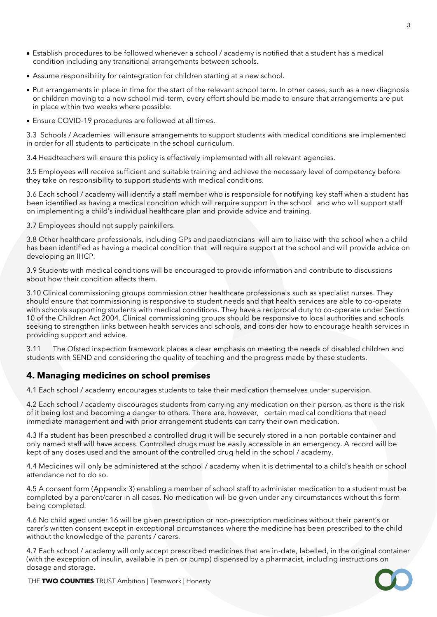- Establish procedures to be followed whenever a school / academy is notified that a student has a medical condition including any transitional arrangements between schools.
- Assume responsibility for reintegration for children starting at a new school.
- Put arrangements in place in time for the start of the relevant school term. In other cases, such as a new diagnosis or children moving to a new school mid-term, every effort should be made to ensure that arrangements are put in place within two weeks where possible.
- Ensure COVID-19 procedures are followed at all times.

3.3 Schools / Academies will ensure arrangements to support students with medical conditions are implemented in order for all students to participate in the school curriculum.

3.4 Headteachers will ensure this policy is effectively implemented with all relevant agencies.

3.5 Employees will receive sufficient and suitable training and achieve the necessary level of competency before they take on responsibility to support students with medical conditions.

3.6 Each school / academy will identify a staff member who is responsible for notifying key staff when a student has been identified as having a medical condition which will require support in the school and who will support staff on implementing a child's individual healthcare plan and provide advice and training.

3.7 Employees should not supply painkillers.

3.8 Other healthcare professionals, including GPs and paediatricians will aim to liaise with the school when a child has been identified as having a medical condition that will require support at the school and will provide advice on developing an IHCP.

3.9 Students with medical conditions will be encouraged to provide information and contribute to discussions about how their condition affects them.

3.10 Clinical commissioning groups commission other healthcare professionals such as specialist nurses. They should ensure that commissioning is responsive to student needs and that health services are able to co-operate with schools supporting students with medical conditions. They have a reciprocal duty to co-operate under Section 10 of the Children Act 2004. Clinical commissioning groups should be responsive to local authorities and schools seeking to strengthen links between health services and schools, and consider how to encourage health services in providing support and advice.

3.11 The Ofsted inspection framework places a clear emphasis on meeting the needs of disabled children and students with SEND and considering the quality of teaching and the progress made by these students.

#### **4. Managing medicines on school premises**

4.1 Each school / academy encourages students to take their medication themselves under supervision.

4.2 Each school / academy discourages students from carrying any medication on their person, as there is the risk of it being lost and becoming a danger to others. There are, however, certain medical conditions that need immediate management and with prior arrangement students can carry their own medication.

4.3 If a student has been prescribed a controlled drug it will be securely stored in a non portable container and only named staff will have access. Controlled drugs must be easily accessible in an emergency. A record will be kept of any doses used and the amount of the controlled drug held in the school / academy.

4.4 Medicines will only be administered at the school / academy when it is detrimental to a child's health or school attendance not to do so.

4.5 A consent form (Appendix 3) enabling a member of school staff to administer medication to a student must be completed by a parent/carer in all cases. No medication will be given under any circumstances without this form being completed.

4.6 No child aged under 16 will be given prescription or non-prescription medicines without their parent's or carer's written consent except in exceptional circumstances where the medicine has been prescribed to the child without the knowledge of the parents / carers.

4.7 Each school / academy will only accept prescribed medicines that are in-date, labelled, in the original container (with the exception of insulin, available in pen or pump) dispensed by a pharmacist, including instructions on dosage and storage.



THE **TWO COUNTIES** TRUST Ambition | Teamwork | Honesty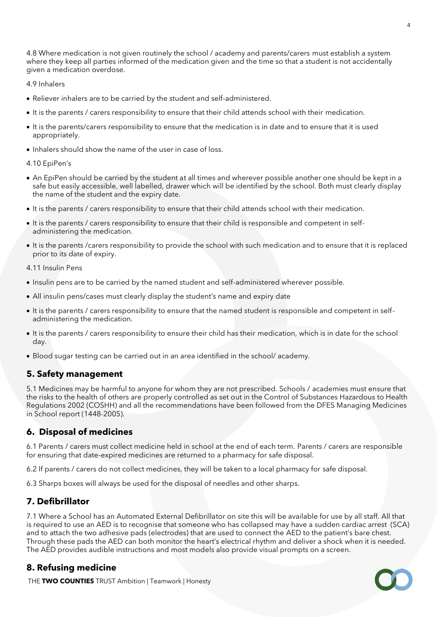4.8 Where medication is not given routinely the school / academy and parents/carers must establish a system where they keep all parties informed of the medication given and the time so that a student is not accidentally given a medication overdose.

#### 4.9 Inhalers

- Reliever inhalers are to be carried by the student and self-administered.
- It is the parents / carers responsibility to ensure that their child attends school with their medication.
- It is the parents/carers responsibility to ensure that the medication is in date and to ensure that it is used appropriately.
- Inhalers should show the name of the user in case of loss.

#### 4.10 EpiPen's

- An EpiPen should be carried by the student at all times and wherever possible another one should be kept in a safe but easily accessible, well labelled, drawer which will be identified by the school. Both must clearly display the name of the student and the expiry date.
- It is the parents / carers responsibility to ensure that their child attends school with their medication.
- It is the parents / carers responsibility to ensure that their child is responsible and competent in selfadministering the medication.
- It is the parents /carers responsibility to provide the school with such medication and to ensure that it is replaced prior to its date of expiry.

4.11 Insulin Pens

- Insulin pens are to be carried by the named student and self-administered wherever possible.
- All insulin pens/cases must clearly display the student's name and expiry date
- It is the parents / carers responsibility to ensure that the named student is responsible and competent in selfadministering the medication.
- It is the parents / carers responsibility to ensure their child has their medication, which is in date for the school day.
- Blood sugar testing can be carried out in an area identified in the school/ academy.

#### **5. Safety management**

5.1 Medicines may be harmful to anyone for whom they are not prescribed. Schools / academies must ensure that the risks to the health of others are properly controlled as set out in the Control of Substances Hazardous to Health Regulations 2002 (COSHH) and all the recommendations have been followed from the DFES Managing Medicines in School report (1448-2005).

#### **6. Disposal of medicines**

6.1 Parents / carers must collect medicine held in school at the end of each term. Parents / carers are responsible for ensuring that date-expired medicines are returned to a pharmacy for safe disposal.

6.2 If parents / carers do not collect medicines, they will be taken to a local pharmacy for safe disposal.

6.3 Sharps boxes will always be used for the disposal of needles and other sharps.

#### **7. Defibrillator**

7.1 Where a School has an Automated External Defibrillator on site this will be available for use by all staff. All that is required to use an AED is to recognise that someone who has collapsed may have a sudden cardiac arrest (SCA) and to attach the two adhesive pads (electrodes) that are used to connect the AED to the patient's bare chest. Through these pads the AED can both monitor the heart's electrical rhythm and deliver a shock when it is needed. The AED provides audible instructions and most models also provide visual prompts on a screen.

#### **8. Refusing medicine**

THE **TWO COUNTIES** TRUST Ambition | Teamwork | Honesty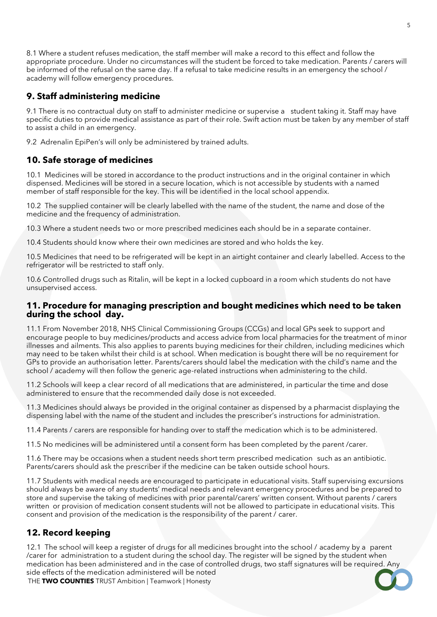8.1 Where a student refuses medication, the staff member will make a record to this effect and follow the appropriate procedure. Under no circumstances will the student be forced to take medication. Parents / carers will be informed of the refusal on the same day. If a refusal to take medicine results in an emergency the school / academy will follow emergency procedures.

# **9. Staff administering medicine**

9.1 There is no contractual duty on staff to administer medicine or supervise a student taking it. Staff may have specific duties to provide medical assistance as part of their role. Swift action must be taken by any member of staff to assist a child in an emergency.

9.2 Adrenalin EpiPen's will only be administered by trained adults.

# **10. Safe storage of medicines**

10.1 Medicines will be stored in accordance to the product instructions and in the original container in which dispensed. Medicines will be stored in a secure location, which is not accessible by students with a named member of staff responsible for the key. This will be identified in the local school appendix.

10.2 The supplied container will be clearly labelled with the name of the student, the name and dose of the medicine and the frequency of administration.

10.3 Where a student needs two or more prescribed medicines each should be in a separate container.

10.4 Students should know where their own medicines are stored and who holds the key.

10.5 Medicines that need to be refrigerated will be kept in an airtight container and clearly labelled. Access to the refrigerator will be restricted to staff only.

10.6 Controlled drugs such as Ritalin, will be kept in a locked cupboard in a room which students do not have unsupervised access.

#### **11. Procedure for managing prescription and bought medicines which need to be taken during the school day.**

11.1 From November 2018, NHS Clinical Commissioning Groups (CCGs) and local GPs seek to support and encourage people to buy medicines/products and access advice from local pharmacies for the treatment of minor illnesses and ailments. This also applies to parents buying medicines for their children, including medicines which may need to be taken whilst their child is at school. When medication is bought there will be no requirement for GPs to provide an authorisation letter. Parents/carers should label the medication with the child's name and the school / academy will then follow the generic age-related instructions when administering to the child.

11.2 Schools will keep a clear record of all medications that are administered, in particular the time and dose administered to ensure that the recommended daily dose is not exceeded.

11.3 Medicines should always be provided in the original container as dispensed by a pharmacist displaying the dispensing label with the name of the student and includes the prescriber's instructions for administration.

11.4 Parents / carers are responsible for handing over to staff the medication which is to be administered.

11.5 No medicines will be administered until a consent form has been completed by the parent /carer.

11.6 There may be occasions when a student needs short term prescribed medication such as an antibiotic. Parents/carers should ask the prescriber if the medicine can be taken outside school hours.

11.7 Students with medical needs are encouraged to participate in educational visits. Staff supervising excursions should always be aware of any students' medical needs and relevant emergency procedures and be prepared to store and supervise the taking of medicines with prior parental/carers' written consent. Without parents / carers written or provision of medication consent students will not be allowed to participate in educational visits. This consent and provision of the medication is the responsibility of the parent / carer.

## **12. Record keeping**

THE **TWO COUNTIES** TRUST Ambition | Teamwork | Honesty 12.1 The school will keep a register of drugs for all medicines brought into the school / academy by a parent /carer for administration to a student during the school day. The register will be signed by the student when medication has been administered and in the case of controlled drugs, two staff signatures will be required. Any side effects of the medication administered will be noted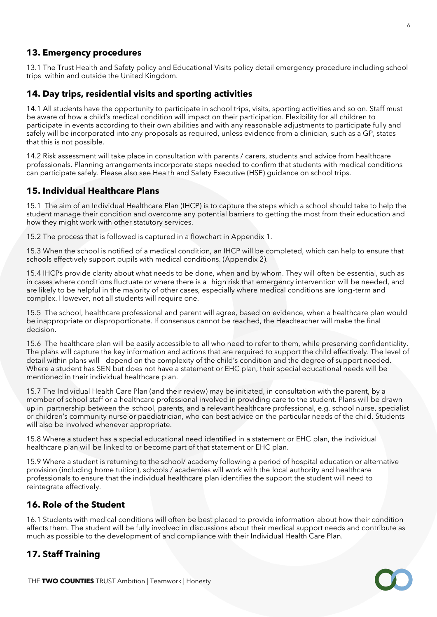#### **13. Emergency procedures**

13.1 The Trust Health and Safety policy and Educational Visits policy detail emergency procedure including school trips within and outside the United Kingdom.

#### **14. Day trips, residential visits and sporting activities**

14.1 All students have the opportunity to participate in school trips, visits, sporting activities and so on. Staff must be aware of how a child's medical condition will impact on their participation. Flexibility for all children to participate in events according to their own abilities and with any reasonable adjustments to participate fully and safely will be incorporated into any proposals as required, unless evidence from a clinician, such as a GP, states that this is not possible.

14.2 Risk assessment will take place in consultation with parents / carers, students and advice from healthcare professionals. Planning arrangements incorporate steps needed to confirm that students with medical conditions can participate safely. Please also see Health and Safety Executive (HSE) guidance on school trips.

#### **15. Individual Healthcare Plans**

15.1 The aim of an Individual Healthcare Plan (IHCP) is to capture the steps which a school should take to help the student manage their condition and overcome any potential barriers to getting the most from their education and how they might work with other statutory services.

15.2 The process that is followed is captured in a flowchart in Appendix 1.

15.3 When the school is notified of a medical condition, an IHCP will be completed, which can help to ensure that schools effectively support pupils with medical conditions. (Appendix 2).

15.4 IHCPs provide clarity about what needs to be done, when and by whom. They will often be essential, such as in cases where conditions fluctuate or where there is a high risk that emergency intervention will be needed, and are likely to be helpful in the majority of other cases, especially where medical conditions are long-term and complex. However, not all students will require one.

15.5 The school, healthcare professional and parent will agree, based on evidence, when a healthcare plan would be inappropriate or disproportionate. If consensus cannot be reached, the Headteacher will make the final decision.

15.6 The healthcare plan will be easily accessible to all who need to refer to them, while preserving confidentiality. The plans will capture the key information and actions that are required to support the child effectively. The level of detail within plans will depend on the complexity of the child's condition and the degree of support needed. Where a student has SEN but does not have a statement or EHC plan, their special educational needs will be mentioned in their individual healthcare plan.

15.7 The Individual Health Care Plan (and their review) may be initiated, in consultation with the parent, by a member of school staff or a healthcare professional involved in providing care to the student. Plans will be drawn up in partnership between the school, parents, and a relevant healthcare professional, e.g. school nurse, specialist or children's community nurse or paediatrician, who can best advice on the particular needs of the child. Students will also be involved whenever appropriate.

15.8 Where a student has a special educational need identified in a statement or EHC plan, the individual healthcare plan will be linked to or become part of that statement or EHC plan.

15.9 Where a student is returning to the school/ academy following a period of hospital education or alternative provision (including home tuition), schools / academies will work with the local authority and healthcare professionals to ensure that the individual healthcare plan identifies the support the student will need to reintegrate effectively.

#### **16. Role of the Student**

16.1 Students with medical conditions will often be best placed to provide information about how their condition affects them. The student will be fully involved in discussions about their medical support needs and contribute as much as possible to the development of and compliance with their Individual Health Care Plan.

## **17. Staff Training**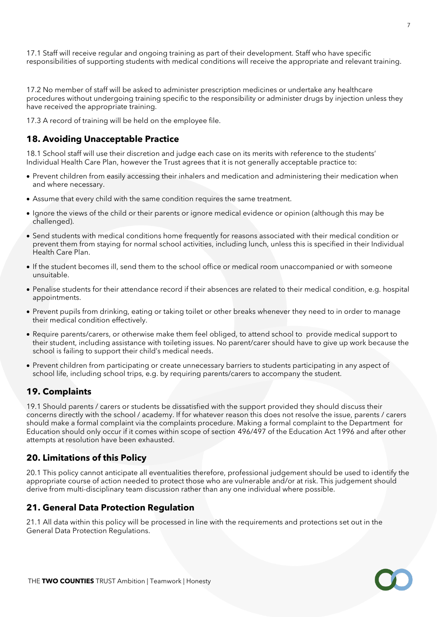17.1 Staff will receive regular and ongoing training as part of their development. Staff who have specific responsibilities of supporting students with medical conditions will receive the appropriate and relevant training.

17.2 No member of staff will be asked to administer prescription medicines or undertake any healthcare procedures without undergoing training specific to the responsibility or administer drugs by injection unless they have received the appropriate training.

17.3 A record of training will be held on the employee file.

### **18. Avoiding Unacceptable Practice**

18.1 School staff will use their discretion and judge each case on its merits with reference to the students' Individual Health Care Plan, however the Trust agrees that it is not generally acceptable practice to:

- Prevent children from easily accessing their inhalers and medication and administering their medication when and where necessary.
- Assume that every child with the same condition requires the same treatment.
- Ignore the views of the child or their parents or ignore medical evidence or opinion (although this may be challenged).
- Send students with medical conditions home frequently for reasons associated with their medical condition or prevent them from staying for normal school activities, including lunch, unless this is specified in their Individual Health Care Plan.
- If the student becomes ill, send them to the school office or medical room unaccompanied or with someone unsuitable.
- Penalise students for their attendance record if their absences are related to their medical condition, e.g. hospital appointments.
- Prevent pupils from drinking, eating or taking toilet or other breaks whenever they need to in order to manage their medical condition effectively.
- Require parents/carers, or otherwise make them feel obliged, to attend school to provide medical support to their student, including assistance with toileting issues. No parent/carer should have to give up work because the school is failing to support their child's medical needs.
- Prevent children from participating or create unnecessary barriers to students participating in any aspect of school life, including school trips, e.g. by requiring parents/carers to accompany the student.

#### **19. Complaints**

19.1 Should parents / carers or students be dissatisfied with the support provided they should discuss their concerns directly with the school / academy. If for whatever reason this does not resolve the issue, parents / carers should make a formal complaint via the complaints procedure. Making a formal complaint to the Department for Education should only occur if it comes within scope of section 496/497 of the Education Act 1996 and after other attempts at resolution have been exhausted.

#### **20. Limitations of this Policy**

20.1 This policy cannot anticipate all eventualities therefore, professional judgement should be used to identify the appropriate course of action needed to protect those who are vulnerable and/or at risk. This judgement should derive from multi-disciplinary team discussion rather than any one individual where possible.

#### **21. General Data Protection Regulation**

21.1 All data within this policy will be processed in line with the requirements and protections set out in the General Data Protection Regulations.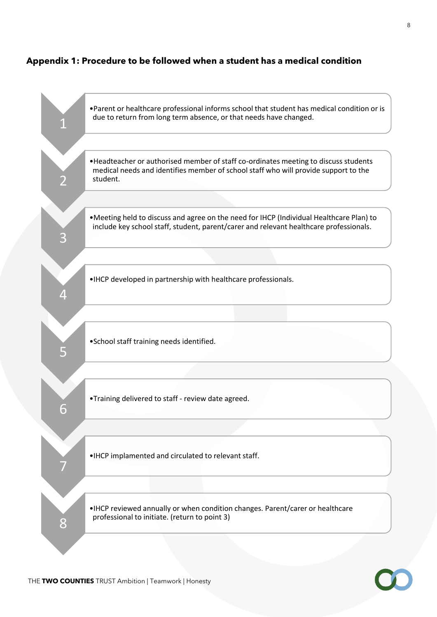## **Appendix 1: Procedure to be followed when a student has a medical condition**

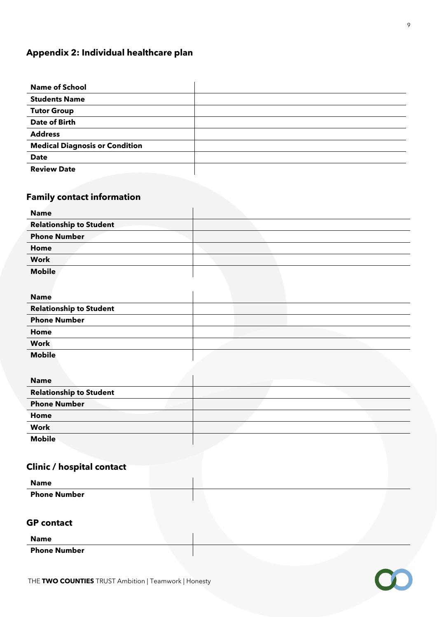## **Appendix 2: Individual healthcare plan**

| <b>Name of School</b>                 |  |
|---------------------------------------|--|
| <b>Students Name</b>                  |  |
| <b>Tutor Group</b>                    |  |
| <b>Date of Birth</b>                  |  |
| <b>Address</b>                        |  |
| <b>Medical Diagnosis or Condition</b> |  |
| <b>Date</b>                           |  |
| <b>Review Date</b>                    |  |

# **Family contact information**

| <b>Name</b>                    |  |
|--------------------------------|--|
| <b>Relationship to Student</b> |  |
| <b>Phone Number</b>            |  |
| Home                           |  |
| <b>Work</b>                    |  |
| <b>Mobile</b>                  |  |

| <b>Name</b>                    |  |  |
|--------------------------------|--|--|
| <b>Relationship to Student</b> |  |  |
| <b>Phone Number</b>            |  |  |
| Home                           |  |  |
| <b>Work</b>                    |  |  |
|                                |  |  |

| <b>Name</b>                    |  |  |
|--------------------------------|--|--|
| <b>Relationship to Student</b> |  |  |
| <b>Phone Number</b>            |  |  |
| Home                           |  |  |
| <b>Work</b>                    |  |  |
| <b>Mobile</b>                  |  |  |

# **Clinic / hospital contact**

| <b>Name</b>         |  |
|---------------------|--|
| <b>Phone Number</b> |  |

#### **GP contact**

**Name**

**Phone Number**

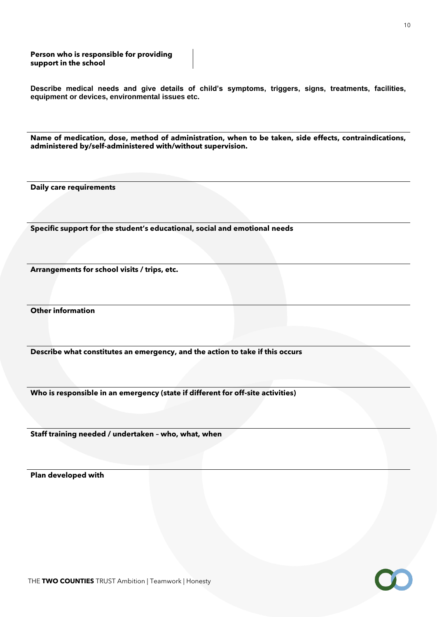#### **Person who is responsible for providing support in the school**

**Describe medical needs and give details of child's symptoms, triggers, signs, treatments, facilities, equipment or devices, environmental issues etc.**

**Name of medication, dose, method of administration, when to be taken, side effects, contraindications, administered by/self-administered with/without supervision.**

**Daily care requirements**

**Specific support for the student's educational, social and emotional needs**

**Arrangements for school visits / trips, etc.**

**Other information**

**Describe what constitutes an emergency, and the action to take if this occurs**

**Who is responsible in an emergency (state if different for off-site activities)** 

**Staff training needed / undertaken – who, what, when**

**Plan developed with**